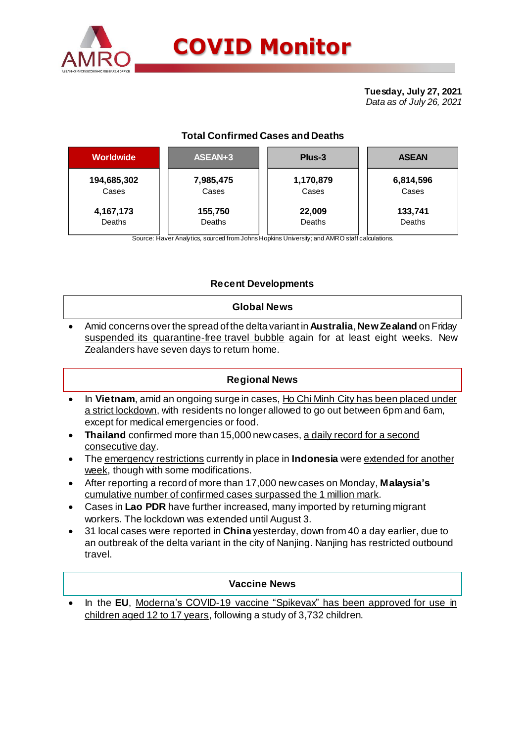

# **COVID Monitor**

**Tuesday, July 27, 2021** *Data as of July 26, 2021*

# **Total Confirmed Cases and Deaths**

| <b>Worldwide</b> | ASEAN+3   | Plus-3    | <b>ASEAN</b> |  |  |
|------------------|-----------|-----------|--------------|--|--|
| 194,685,302      | 7,985,475 | 1,170,879 | 6,814,596    |  |  |
| Cases            | Cases     | Cases     | Cases        |  |  |
| 4,167,173        | 155,750   | 22,009    | 133,741      |  |  |
| Deaths           | Deaths    | Deaths    | Deaths       |  |  |

Source: Haver Analytics, sourced from Johns Hopkins University; and AMRO staff calculations.

## **Recent Developments**

#### **Global News**

 Amid concerns over the spread of the delta variant in **Australia**, **New Zealand** on Friday suspended its quarantine-free travel bubble again for at least eight weeks. New Zealanders have seven days to return home.

### **Regional News**

- In **Vietnam**, amid an ongoing surge in cases, Ho Chi Minh City has been placed under a strict lockdown, with residents no longer allowed to go out between 6pm and 6am, except for medical emergencies or food.
- **Thailand** confirmed more than 15,000 new cases, a daily record for a second consecutive day.
- The emergency restrictions currently in place in **Indonesia** were extended for another week, though with some modifications.
- After reporting a record of more than 17,000 new cases on Monday, **Malaysia's** cumulative number of confirmed cases surpassed the 1 million mark.
- Cases in **Lao PDR** have further increased, many imported by returning migrant workers. The lockdown was extended until August 3.
- 31 local cases were reported in **China** yesterday, down from 40 a day earlier, due to an outbreak of the delta variant in the city of Nanjing. Nanjing has restricted outbound travel.

### **Vaccine News**

 In the **EU**, Moderna's COVID-19 vaccine "Spikevax" has been approved for use in children aged 12 to 17 years, following a study of 3,732 children.